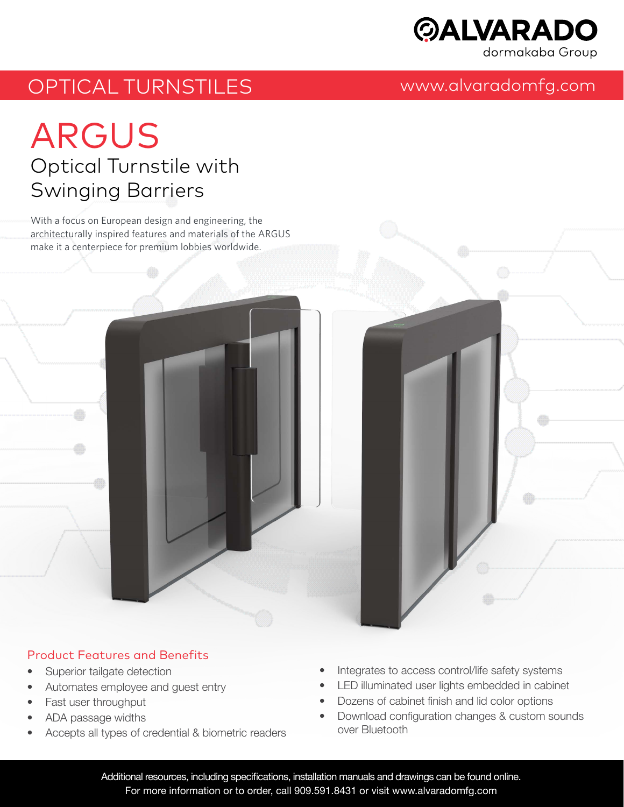

# OPTICAL TURNSTILES www.alvaradomfg.com

# ARGUS Optical Turnstile with Swinging Barriers

With a focus on European design and engineering, the architecturally inspired features and materials of the ARGUS make it a centerpiece for premium lobbies worldwide.



#### Product Features and Benefits

- Superior tailgate detection
- Automates employee and guest entry
- Fast user throughput
- ADA passage widths
- Accepts all types of credential & biometric readers
- Integrates to access control/life safety systems
- LED illuminated user lights embedded in cabinet
- Dozens of cabinet finish and lid color options
- Download configuration changes & custom sounds over Bluetooth

Additional resources, including specifications, installation manuals and drawings can be found online. For more information or to order, call 909.591.8431 or visit www.alvaradomfg.com